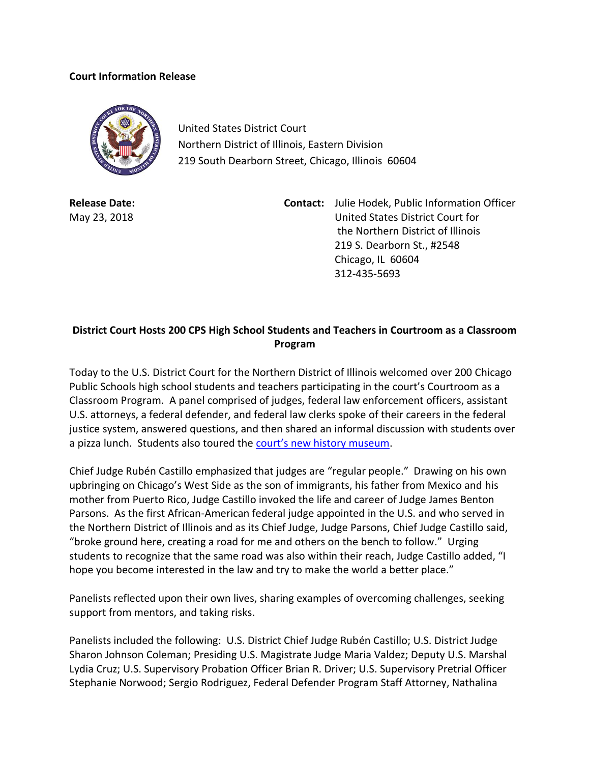## **Court Information Release**



United States District Court Northern District of Illinois, Eastern Division 219 South Dearborn Street, Chicago, Illinois 60604

**Release Date:** May 23, 2018 **Contact:** Julie Hodek, Public Information Officer United States District Court for the Northern District of Illinois 219 S. Dearborn St., #2548 Chicago, IL 60604 312-435-5693

## **District Court Hosts 200 CPS High School Students and Teachers in Courtroom as a Classroom Program**

Today to the U.S. District Court for the Northern District of Illinois welcomed over 200 Chicago Public Schools high school students and teachers participating in the court's Courtroom as a Classroom Program. A panel comprised of judges, federal law enforcement officers, assistant U.S. attorneys, a federal defender, and federal law clerks spoke of their careers in the federal justice system, answered questions, and then shared an informal discussion with students over a pizza lunch. Students also toured the [court's new history museum](http://www.ilnd.uscourts.gov/_assets/_news/May1HistoryRelease.pdf).

Chief Judge Rubén Castillo emphasized that judges are "regular people." Drawing on his own upbringing on Chicago's West Side as the son of immigrants, his father from Mexico and his mother from Puerto Rico, Judge Castillo invoked the life and career of Judge James Benton Parsons. As the first African-American federal judge appointed in the U.S. and who served in the Northern District of Illinois and as its Chief Judge, Judge Parsons, Chief Judge Castillo said, "broke ground here, creating a road for me and others on the bench to follow." Urging students to recognize that the same road was also within their reach, Judge Castillo added, "I hope you become interested in the law and try to make the world a better place."

Panelists reflected upon their own lives, sharing examples of overcoming challenges, seeking support from mentors, and taking risks.

Panelists included the following: U.S. District Chief Judge Rubén Castillo; U.S. District Judge Sharon Johnson Coleman; Presiding U.S. Magistrate Judge Maria Valdez; Deputy U.S. Marshal Lydia Cruz; U.S. Supervisory Probation Officer Brian R. Driver; U.S. Supervisory Pretrial Officer Stephanie Norwood; Sergio Rodriguez, Federal Defender Program Staff Attorney, Nathalina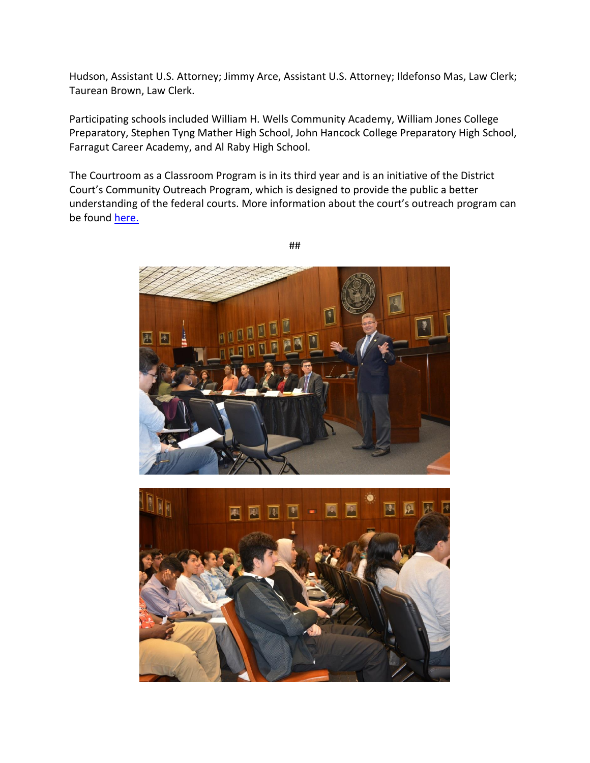Hudson, Assistant U.S. Attorney; Jimmy Arce, Assistant U.S. Attorney; Ildefonso Mas, Law Clerk; Taurean Brown, Law Clerk.

Participating schools included William H. Wells Community Academy, William Jones College Preparatory, Stephen Tyng Mather High School, John Hancock College Preparatory High School, Farragut Career Academy, and Al Raby High School.

The Courtroom as a Classroom Program is in its third year and is an initiative of the District Court's Community Outreach Program, which is designed to provide the public a better understanding of the federal courts. More information about the court's outreach program can be found [here.](http://www.ilnd.uscourts.gov/Pages.aspx?page=outreach)





##